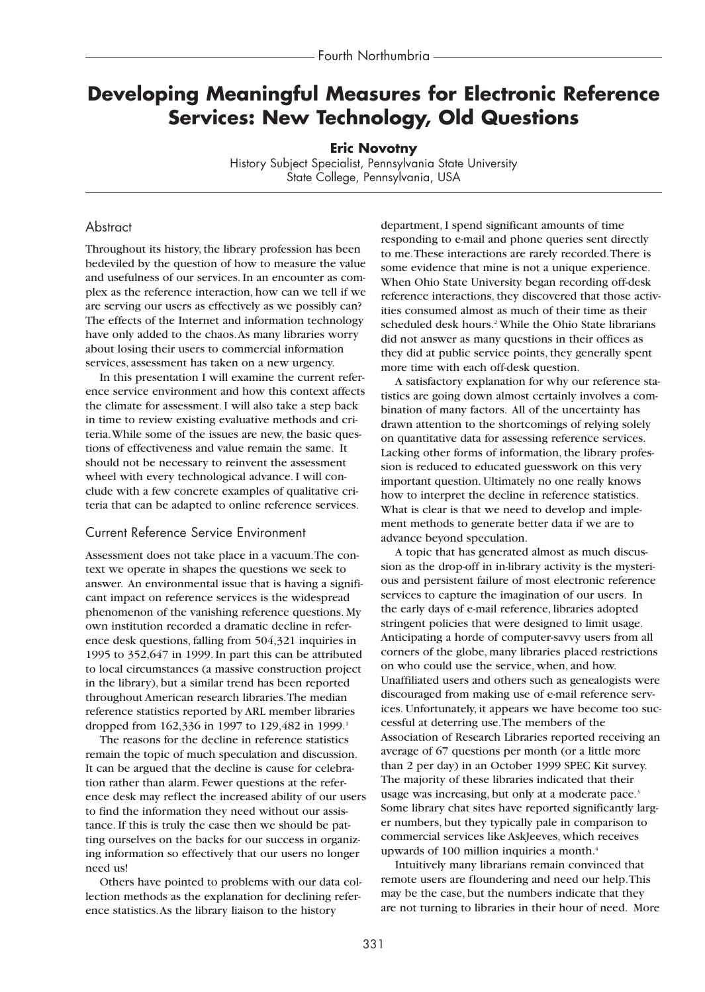# **Developing Meaningful Measures for Electronic Reference Services: New Technology, Old Questions**

**Eric Novotny**

History Subject Specialist, Pennsylvania State University State College, Pennsylvania, USA

#### Abstract

Throughout its history, the library profession has been bedeviled by the question of how to measure the value and usefulness of our services. In an encounter as complex as the reference interaction, how can we tell if we are serving our users as effectively as we possibly can? The effects of the Internet and information technology have only added to the chaos.As many libraries worry about losing their users to commercial information services, assessment has taken on a new urgency.

In this presentation I will examine the current reference service environment and how this context affects the climate for assessment. I will also take a step back in time to review existing evaluative methods and criteria.While some of the issues are new, the basic questions of effectiveness and value remain the same. It should not be necessary to reinvent the assessment wheel with every technological advance. I will conclude with a few concrete examples of qualitative criteria that can be adapted to online reference services.

#### Current Reference Service Environment

Assessment does not take place in a vacuum.The context we operate in shapes the questions we seek to answer. An environmental issue that is having a significant impact on reference services is the widespread phenomenon of the vanishing reference questions. My own institution recorded a dramatic decline in reference desk questions, falling from 504,321 inquiries in 1995 to 352,647 in 1999. In part this can be attributed to local circumstances (a massive construction project in the library), but a similar trend has been reported throughout American research libraries.The median reference statistics reported by ARL member libraries dropped from 162,336 in 1997 to 129,482 in 1999.<sup>1</sup>

The reasons for the decline in reference statistics remain the topic of much speculation and discussion. It can be argued that the decline is cause for celebration rather than alarm. Fewer questions at the reference desk may reflect the increased ability of our users to find the information they need without our assistance. If this is truly the case then we should be patting ourselves on the backs for our success in organizing information so effectively that our users no longer need us!

Others have pointed to problems with our data collection methods as the explanation for declining reference statistics.As the library liaison to the history

department, I spend significant amounts of time responding to e-mail and phone queries sent directly to me.These interactions are rarely recorded.There is some evidence that mine is not a unique experience. When Ohio State University began recording off-desk reference interactions, they discovered that those activities consumed almost as much of their time as their scheduled desk hours.<sup>2</sup> While the Ohio State librarians did not answer as many questions in their offices as they did at public service points, they generally spent more time with each off-desk question.

A satisfactory explanation for why our reference statistics are going down almost certainly involves a combination of many factors. All of the uncertainty has drawn attention to the shortcomings of relying solely on quantitative data for assessing reference services. Lacking other forms of information, the library profession is reduced to educated guesswork on this very important question. Ultimately no one really knows how to interpret the decline in reference statistics. What is clear is that we need to develop and implement methods to generate better data if we are to advance beyond speculation.

A topic that has generated almost as much discussion as the drop-off in in-library activity is the mysterious and persistent failure of most electronic reference services to capture the imagination of our users. In the early days of e-mail reference, libraries adopted stringent policies that were designed to limit usage. Anticipating a horde of computer-savvy users from all corners of the globe, many libraries placed restrictions on who could use the service, when, and how. Unaffiliated users and others such as genealogists were discouraged from making use of e-mail reference services. Unfortunately, it appears we have become too successful at deterring use.The members of the Association of Research Libraries reported receiving an average of 67 questions per month (or a little more than 2 per day) in an October 1999 SPEC Kit survey. The majority of these libraries indicated that their usage was increasing, but only at a moderate pace.<sup>3</sup> Some library chat sites have reported significantly larger numbers, but they typically pale in comparison to commercial services like AskJeeves, which receives upwards of 100 million inquiries a month.<sup>4</sup>

Intuitively many librarians remain convinced that remote users are floundering and need our help.This may be the case, but the numbers indicate that they are not turning to libraries in their hour of need. More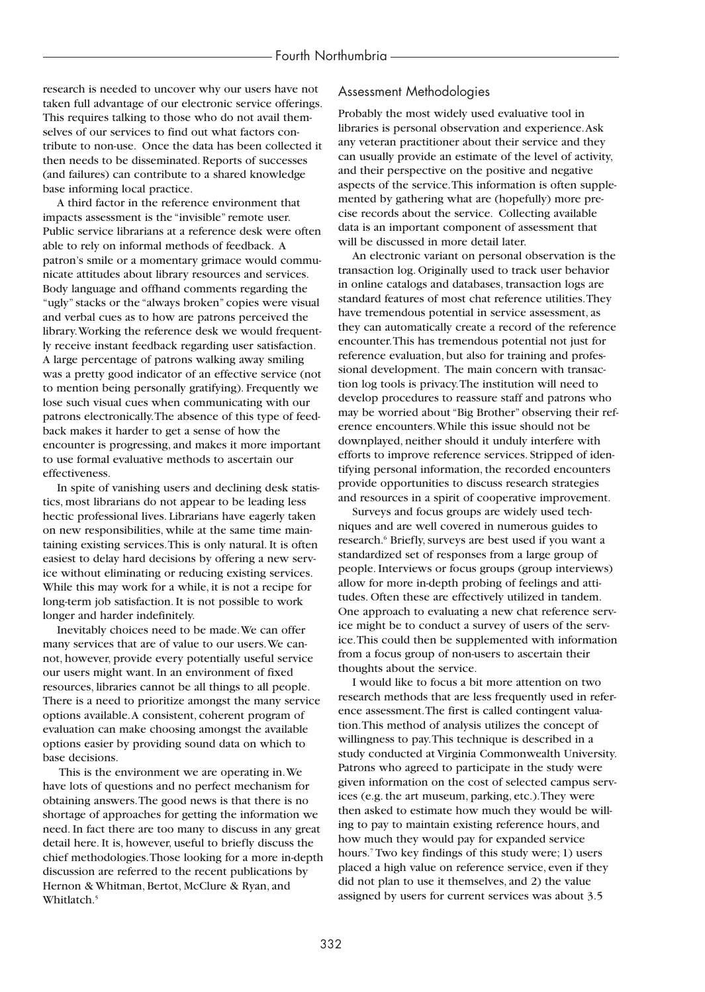research is needed to uncover why our users have not taken full advantage of our electronic service offerings. This requires talking to those who do not avail themselves of our services to find out what factors contribute to non-use. Once the data has been collected it then needs to be disseminated. Reports of successes (and failures) can contribute to a shared knowledge base informing local practice.

A third factor in the reference environment that impacts assessment is the "invisible" remote user. Public service librarians at a reference desk were often able to rely on informal methods of feedback. A patron's smile or a momentary grimace would communicate attitudes about library resources and services. Body language and offhand comments regarding the "ugly" stacks or the "always broken" copies were visual and verbal cues as to how are patrons perceived the library.Working the reference desk we would frequently receive instant feedback regarding user satisfaction. A large percentage of patrons walking away smiling was a pretty good indicator of an effective service (not to mention being personally gratifying). Frequently we lose such visual cues when communicating with our patrons electronically.The absence of this type of feedback makes it harder to get a sense of how the encounter is progressing, and makes it more important to use formal evaluative methods to ascertain our effectiveness.

In spite of vanishing users and declining desk statistics, most librarians do not appear to be leading less hectic professional lives. Librarians have eagerly taken on new responsibilities, while at the same time maintaining existing services.This is only natural. It is often easiest to delay hard decisions by offering a new service without eliminating or reducing existing services. While this may work for a while, it is not a recipe for long-term job satisfaction. It is not possible to work longer and harder indefinitely.

Inevitably choices need to be made.We can offer many services that are of value to our users.We cannot, however, provide every potentially useful service our users might want. In an environment of fixed resources, libraries cannot be all things to all people. There is a need to prioritize amongst the many service options available.A consistent, coherent program of evaluation can make choosing amongst the available options easier by providing sound data on which to base decisions.

This is the environment we are operating in.We have lots of questions and no perfect mechanism for obtaining answers.The good news is that there is no shortage of approaches for getting the information we need. In fact there are too many to discuss in any great detail here. It is, however, useful to briefly discuss the chief methodologies.Those looking for a more in-depth discussion are referred to the recent publications by Hernon & Whitman, Bertot, McClure & Ryan, and Whitlatch.<sup>5</sup>

## Assessment Methodologies

Probably the most widely used evaluative tool in libraries is personal observation and experience.Ask any veteran practitioner about their service and they can usually provide an estimate of the level of activity, and their perspective on the positive and negative aspects of the service.This information is often supplemented by gathering what are (hopefully) more precise records about the service. Collecting available data is an important component of assessment that will be discussed in more detail later.

An electronic variant on personal observation is the transaction log. Originally used to track user behavior in online catalogs and databases, transaction logs are standard features of most chat reference utilities.They have tremendous potential in service assessment, as they can automatically create a record of the reference encounter.This has tremendous potential not just for reference evaluation, but also for training and professional development. The main concern with transaction log tools is privacy.The institution will need to develop procedures to reassure staff and patrons who may be worried about "Big Brother" observing their reference encounters.While this issue should not be downplayed, neither should it unduly interfere with efforts to improve reference services. Stripped of identifying personal information, the recorded encounters provide opportunities to discuss research strategies and resources in a spirit of cooperative improvement.

Surveys and focus groups are widely used techniques and are well covered in numerous guides to research.<sup>6</sup> Briefly, surveys are best used if you want a standardized set of responses from a large group of people. Interviews or focus groups (group interviews) allow for more in-depth probing of feelings and attitudes. Often these are effectively utilized in tandem. One approach to evaluating a new chat reference service might be to conduct a survey of users of the service.This could then be supplemented with information from a focus group of non-users to ascertain their thoughts about the service.

I would like to focus a bit more attention on two research methods that are less frequently used in reference assessment.The first is called contingent valuation.This method of analysis utilizes the concept of willingness to pay.This technique is described in a study conducted at Virginia Commonwealth University. Patrons who agreed to participate in the study were given information on the cost of selected campus services (e.g. the art museum, parking, etc.).They were then asked to estimate how much they would be willing to pay to maintain existing reference hours, and how much they would pay for expanded service hours.7 Two key findings of this study were; 1) users placed a high value on reference service, even if they did not plan to use it themselves, and 2) the value assigned by users for current services was about 3.5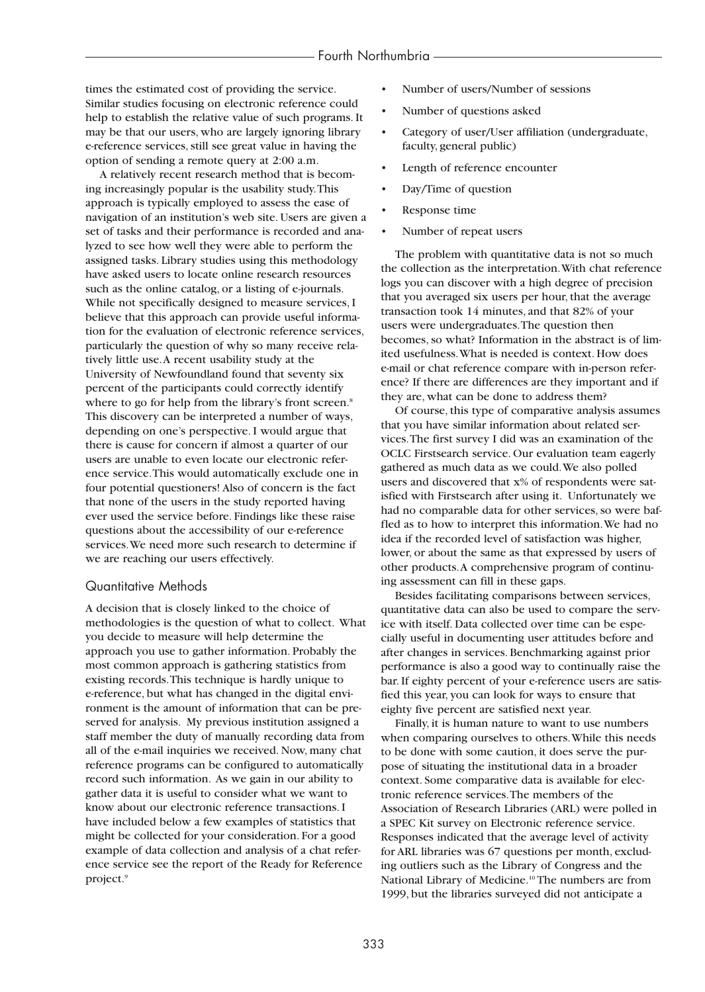times the estimated cost of providing the service. Similar studies focusing on electronic reference could help to establish the relative value of such programs. It may be that our users, who are largely ignoring library e-reference services, still see great value in having the option of sending a remote query at 2:00 a.m.

A relatively recent research method that is becoming increasingly popular is the usability study.This approach is typically employed to assess the ease of navigation of an institution's web site. Users are given a set of tasks and their performance is recorded and analyzed to see how well they were able to perform the assigned tasks. Library studies using this methodology have asked users to locate online research resources such as the online catalog, or a listing of e-journals. While not specifically designed to measure services, I believe that this approach can provide useful information for the evaluation of electronic reference services, particularly the question of why so many receive relatively little use.A recent usability study at the University of Newfoundland found that seventy six percent of the participants could correctly identify where to go for help from the library's front screen.<sup>8</sup> This discovery can be interpreted a number of ways, depending on one's perspective. I would argue that there is cause for concern if almost a quarter of our users are unable to even locate our electronic reference service.This would automatically exclude one in four potential questioners! Also of concern is the fact that none of the users in the study reported having ever used the service before. Findings like these raise questions about the accessibility of our e-reference services.We need more such research to determine if we are reaching our users effectively.

#### Quantitative Methods

A decision that is closely linked to the choice of methodologies is the question of what to collect. What you decide to measure will help determine the approach you use to gather information. Probably the most common approach is gathering statistics from existing records.This technique is hardly unique to e-reference, but what has changed in the digital environment is the amount of information that can be preserved for analysis. My previous institution assigned a staff member the duty of manually recording data from all of the e-mail inquiries we received. Now, many chat reference programs can be configured to automatically record such information. As we gain in our ability to gather data it is useful to consider what we want to know about our electronic reference transactions. I have included below a few examples of statistics that might be collected for your consideration. For a good example of data collection and analysis of a chat reference service see the report of the Ready for Reference project.<sup>9</sup>

- Number of users/Number of sessions
- Number of questions asked
- Category of user/User affiliation (undergraduate, faculty, general public)
- Length of reference encounter
- Day/Time of question
- Response time
- Number of repeat users

The problem with quantitative data is not so much the collection as the interpretation.With chat reference logs you can discover with a high degree of precision that you averaged six users per hour, that the average transaction took 14 minutes, and that 82% of your users were undergraduates.The question then becomes, so what? Information in the abstract is of limited usefulness.What is needed is context. How does e-mail or chat reference compare with in-person reference? If there are differences are they important and if they are, what can be done to address them?

Of course, this type of comparative analysis assumes that you have similar information about related services.The first survey I did was an examination of the OCLC Firstsearch service. Our evaluation team eagerly gathered as much data as we could.We also polled users and discovered that x% of respondents were satisfied with Firstsearch after using it. Unfortunately we had no comparable data for other services, so were baffled as to how to interpret this information.We had no idea if the recorded level of satisfaction was higher, lower, or about the same as that expressed by users of other products.A comprehensive program of continuing assessment can fill in these gaps.

Besides facilitating comparisons between services, quantitative data can also be used to compare the service with itself. Data collected over time can be especially useful in documenting user attitudes before and after changes in services. Benchmarking against prior performance is also a good way to continually raise the bar. If eighty percent of your e-reference users are satisfied this year, you can look for ways to ensure that eighty five percent are satisfied next year.

Finally, it is human nature to want to use numbers when comparing ourselves to others.While this needs to be done with some caution, it does serve the purpose of situating the institutional data in a broader context. Some comparative data is available for electronic reference services.The members of the Association of Research Libraries (ARL) were polled in a SPEC Kit survey on Electronic reference service. Responses indicated that the average level of activity for ARL libraries was 67 questions per month, excluding outliers such as the Library of Congress and the National Library of Medicine.<sup>10</sup> The numbers are from 1999, but the libraries surveyed did not anticipate a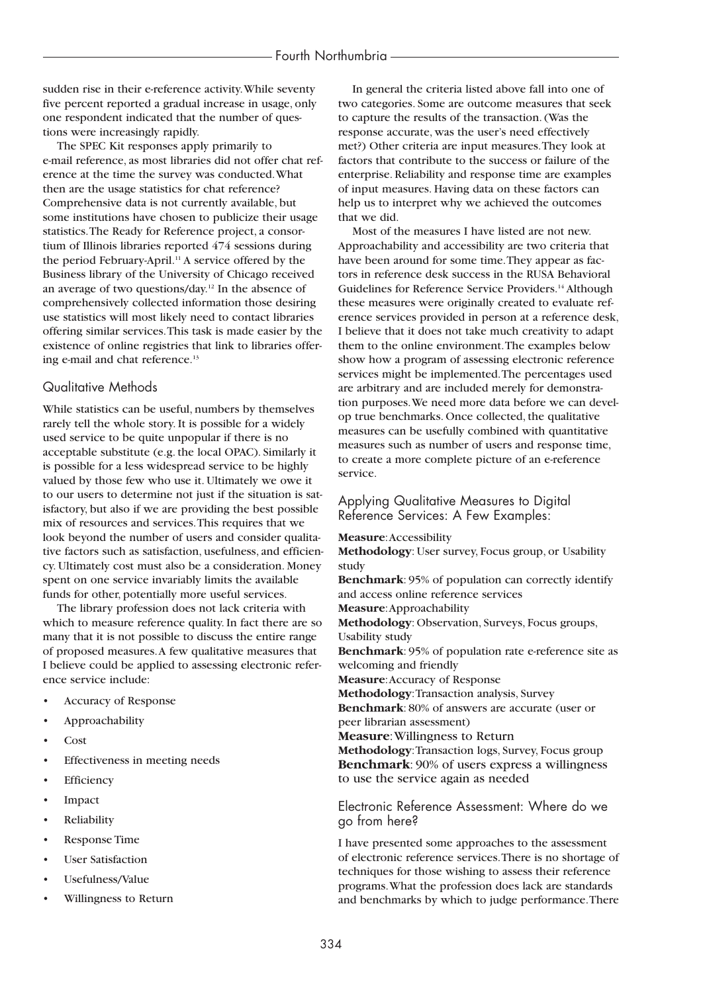sudden rise in their e-reference activity.While seventy five percent reported a gradual increase in usage, only one respondent indicated that the number of questions were increasingly rapidly.

The SPEC Kit responses apply primarily to e-mail reference, as most libraries did not offer chat reference at the time the survey was conducted.What then are the usage statistics for chat reference? Comprehensive data is not currently available, but some institutions have chosen to publicize their usage statistics.The Ready for Reference project, a consortium of Illinois libraries reported 474 sessions during the period February-April.<sup>11</sup> A service offered by the Business library of the University of Chicago received an average of two questions/day.12 In the absence of comprehensively collected information those desiring use statistics will most likely need to contact libraries offering similar services.This task is made easier by the existence of online registries that link to libraries offering e-mail and chat reference.<sup>13</sup>

#### Qualitative Methods

While statistics can be useful, numbers by themselves rarely tell the whole story. It is possible for a widely used service to be quite unpopular if there is no acceptable substitute (e.g. the local OPAC). Similarly it is possible for a less widespread service to be highly valued by those few who use it. Ultimately we owe it to our users to determine not just if the situation is satisfactory, but also if we are providing the best possible mix of resources and services.This requires that we look beyond the number of users and consider qualitative factors such as satisfaction, usefulness, and efficiency. Ultimately cost must also be a consideration. Money spent on one service invariably limits the available funds for other, potentially more useful services.

The library profession does not lack criteria with which to measure reference quality. In fact there are so many that it is not possible to discuss the entire range of proposed measures.A few qualitative measures that I believe could be applied to assessing electronic reference service include:

- Accuracy of Response
- Approachability
- Cost
- Effectiveness in meeting needs
- **Efficiency**
- **Impact**
- **Reliability**
- Response Time
- **User Satisfaction**
- Usefulness/Value
- Willingness to Return

In general the criteria listed above fall into one of two categories. Some are outcome measures that seek to capture the results of the transaction. (Was the response accurate, was the user's need effectively met?) Other criteria are input measures.They look at factors that contribute to the success or failure of the enterprise. Reliability and response time are examples of input measures. Having data on these factors can help us to interpret why we achieved the outcomes that we did.

Most of the measures I have listed are not new. Approachability and accessibility are two criteria that have been around for some time.They appear as factors in reference desk success in the RUSA Behavioral Guidelines for Reference Service Providers.<sup>14</sup> Although these measures were originally created to evaluate reference services provided in person at a reference desk, I believe that it does not take much creativity to adapt them to the online environment.The examples below show how a program of assessing electronic reference services might be implemented.The percentages used are arbitrary and are included merely for demonstration purposes.We need more data before we can develop true benchmarks. Once collected, the qualitative measures can be usefully combined with quantitative measures such as number of users and response time, to create a more complete picture of an e-reference service.

### Applying Qualitative Measures to Digital Reference Services: A Few Examples:

**Measure**:Accessibility

**Methodology**: User survey, Focus group, or Usability study

**Benchmark**: 95% of population can correctly identify and access online reference services

**Measure**:Approachability

**Methodology**: Observation, Surveys, Focus groups, Usability study

**Benchmark**: 95% of population rate e-reference site as welcoming and friendly

**Measure**:Accuracy of Response

**Methodology**:Transaction analysis, Survey

**Benchmark**: 80% of answers are accurate (user or peer librarian assessment)

**Measure**:Willingness to Return

**Methodology**:Transaction logs, Survey, Focus group **Benchmark**: 90% of users express a willingness to use the service again as needed

Electronic Reference Assessment: Where do we go from here?

I have presented some approaches to the assessment of electronic reference services.There is no shortage of techniques for those wishing to assess their reference programs.What the profession does lack are standards and benchmarks by which to judge performance.There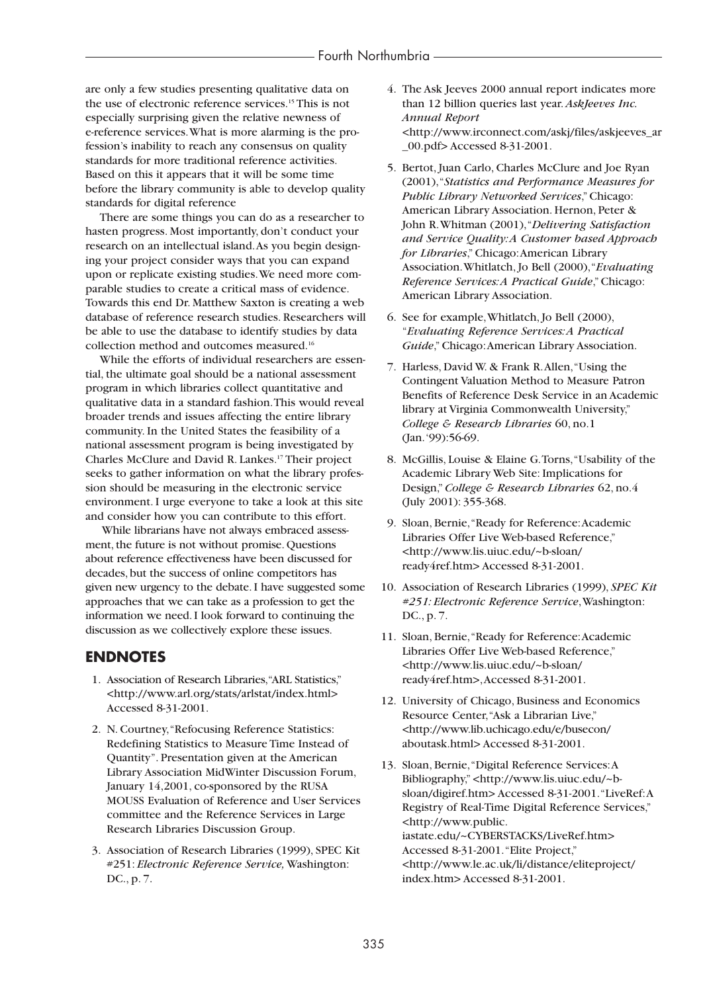are only a few studies presenting qualitative data on the use of electronic reference services.<sup>15</sup> This is not especially surprising given the relative newness of e-reference services.What is more alarming is the profession's inability to reach any consensus on quality standards for more traditional reference activities. Based on this it appears that it will be some time before the library community is able to develop quality standards for digital reference

There are some things you can do as a researcher to hasten progress. Most importantly, don't conduct your research on an intellectual island.As you begin designing your project consider ways that you can expand upon or replicate existing studies.We need more comparable studies to create a critical mass of evidence. Towards this end Dr. Matthew Saxton is creating a web database of reference research studies. Researchers will be able to use the database to identify studies by data collection method and outcomes measured.16

While the efforts of individual researchers are essential, the ultimate goal should be a national assessment program in which libraries collect quantitative and qualitative data in a standard fashion.This would reveal broader trends and issues affecting the entire library community. In the United States the feasibility of a national assessment program is being investigated by Charles McClure and David R. Lankes.17 Their project seeks to gather information on what the library profession should be measuring in the electronic service environment. I urge everyone to take a look at this site and consider how you can contribute to this effort.

While librarians have not always embraced assessment, the future is not without promise. Questions about reference effectiveness have been discussed for decades, but the success of online competitors has given new urgency to the debate. I have suggested some approaches that we can take as a profession to get the information we need. I look forward to continuing the discussion as we collectively explore these issues.

## **ENDNOTES**

- 1. Association of Research Libraries, "ARL Statistics," <http://www.arl.org/stats/arlstat/index.html> Accessed 8-31-2001.
- 2. N. Courtney, "Refocusing Reference Statistics: Redefining Statistics to Measure Time Instead of Quantity". Presentation given at the American Library Association MidWinter Discussion Forum, January 14,2001, co-sponsored by the RUSA MOUSS Evaluation of Reference and User Services committee and the Reference Services in Large Research Libraries Discussion Group.
- 03. Association of Research Libraries (1999), SPEC Kit #251: *Electronic Reference Service,* Washington: DC., p. 7.
- 04. The Ask Jeeves 2000 annual report indicates more than 12 billion queries last year. *AskJeeves Inc. Annual Report*  <http://www.irconnect.com/askj/files/askjeeves\_ar \_00.pdf> Accessed 8-31-2001.
- 05. Bertot, Juan Carlo, Charles McClure and Joe Ryan (2001),"*Statistics and Performance Measures for Public Library Networked Services*," Chicago: American Library Association. Hernon, Peter & John R.Whitman (2001),"*Delivering Satisfaction and Service Quality:A Customer based Approach for Libraries*," Chicago:American Library Association.Whitlatch, Jo Bell (2000),"*Evaluating Reference Services:A Practical Guide*," Chicago: American Library Association.
- 06. See for example,Whitlatch, Jo Bell (2000), "*Evaluating Reference Services:A Practical Guide*," Chicago:American Library Association.
- 07. Harless, David W. & Frank R.Allen,"Using the Contingent Valuation Method to Measure Patron Benefits of Reference Desk Service in an Academic library at Virginia Commonwealth University," *College & Research Libraries* 60, no.1 (Jan.'99):56-69.
- 08. McGillis, Louise & Elaine G.Torns,"Usability of the Academic Library Web Site: Implications for Design,"*College & Research Libraries* 62, no.4 (July 2001): 355-368.
- 09. Sloan, Bernie,"Ready for Reference:Academic Libraries Offer Live Web-based Reference," <http://www.lis.uiuc.edu/~b-sloan/ ready4ref.htm> Accessed 8-31-2001.
- 10. Association of Research Libraries (1999), *SPEC Kit #251: Electronic Reference Service*,Washington: DC., p. 7.
- 11. Sloan, Bernie,"Ready for Reference:Academic Libraries Offer Live Web-based Reference," <http://www.lis.uiuc.edu/~b-sloan/ ready4ref.htm>,Accessed 8-31-2001.
- 12. University of Chicago, Business and Economics Resource Center,"Ask a Librarian Live," <http://www.lib.uchicago.edu/e/busecon/ aboutask.html> Accessed 8-31-2001.
- 13. Sloan, Bernie,"Digital Reference Services:A Bibliography," <http://www.lis.uiuc.edu/~bsloan/digiref.htm> Accessed 8-31-2001."LiveRef:A Registry of Real-Time Digital Reference Services," <http://www.public. iastate.edu/~CYBERSTACKS/LiveRef.htm> Accessed 8-31-2001."Elite Project," <http://www.le.ac.uk/li/distance/eliteproject/ index.htm> Accessed 8-31-2001.